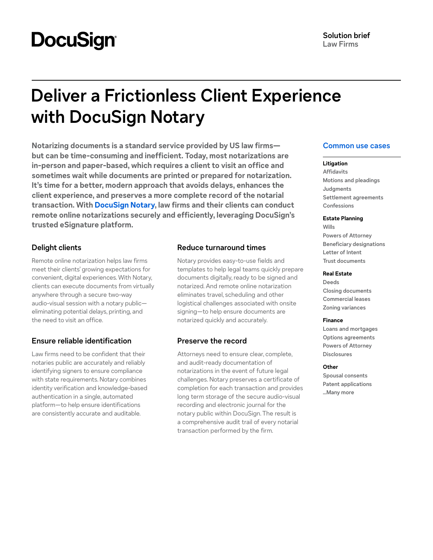# **DocuSign®**

# **Deliver a Frictionless Client Experience with DocuSign Notary**

**Notarizing documents is a standard service provided by US law firms but can be time-consuming and inefficient. Today, most notarizations are in-person and paper-based, which requires a client to visit an office and sometimes wait while documents are printed or prepared for notarization. It's time for a better, modern approach that avoids delays, enhances the client experience, and preserves a more complete record of the notarial transaction. With [DocuSign Notary,](https://www.docusign.com/products/notary) law firms and their clients can conduct remote online notarizations securely and efficiently, leveraging DocuSign's trusted eSignature platform.**

## **Delight clients**

Remote online notarization helps law firms meet their clients' growing expectations for convenient, digital experiences. With Notary, clients can execute documents from virtually anywhere through a secure two-way audio-visual session with a notary public eliminating potential delays, printing, and the need to visit an office.

# **Ensure reliable identification**

Law firms need to be confident that their notaries public are accurately and reliably identifying signers to ensure compliance with state requirements. Notary combines identity verification and knowledge-based authentication in a single, automated platform—to help ensure identifications are consistently accurate and auditable.

# **Reduce turnaround times**

Notary provides easy-to-use fields and templates to help legal teams quickly prepare documents digitally, ready to be signed and notarized. And remote online notarization eliminates travel, scheduling and other logistical challenges associated with onsite signing—to help ensure documents are notarized quickly and accurately.

# **Preserve the record**

Attorneys need to ensure clear, complete, and audit-ready documentation of notarizations in the event of future legal challenges. Notary preserves a certificate of completion for each transaction and provides long term storage of the secure audio-visual recording and electronic journal for the notary public within DocuSign. The result is a comprehensive audit trail of every notarial transaction performed by the firm.

# **Common use cases**

#### **Litigation**

**Affidavits Motions and pleadings Judgments Settlement agreements Confessions**

#### **Estate Planning**

**Wills Powers of Attorney Beneficiary designations Letter of Intent Trust documents**

#### **Real Estate**

**Deeds Closing documents Commercial leases Zoning variances**

#### **Finance**

**Loans and mortgages Options agreements Powers of Attorney Disclosures**

#### **Other**

**Spousal consents Patent applications ...Many more**